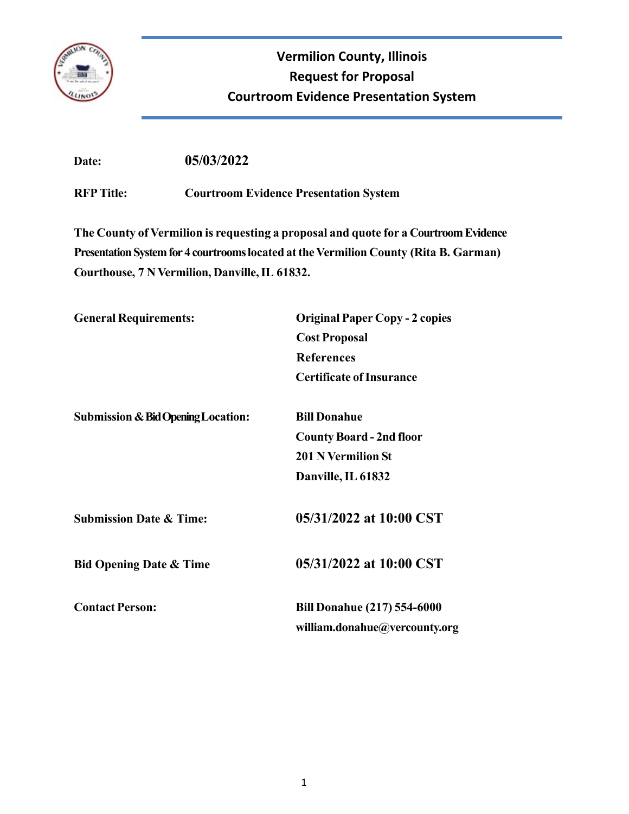

# **Vermilion County, Illinois Request for Proposal Courtroom Evidence Presentation System**

 **Date: 05/03/2022** 

**RFP Title: Courtroom Evidence Presentation System**

**The County of Vermilion is requesting a proposal and quote for a Courtroom Evidence Presentation System for 4 courtrooms located at the Vermilion County (Rita B. Garman) Courthouse, 7 N Vermilion, Danville, IL 61832.**

| <b>General Requirements:</b>                  | <b>Original Paper Copy - 2 copies</b> |  |
|-----------------------------------------------|---------------------------------------|--|
|                                               | <b>Cost Proposal</b>                  |  |
|                                               | <b>References</b>                     |  |
|                                               | <b>Certificate of Insurance</b>       |  |
| <b>Submission &amp; Bid Opening Location:</b> | <b>Bill Donahue</b>                   |  |
|                                               | <b>County Board - 2nd floor</b>       |  |
|                                               | <b>201 N Vermilion St</b>             |  |
|                                               | Danville, IL 61832                    |  |
| <b>Submission Date &amp; Time:</b>            | 05/31/2022 at 10:00 CST               |  |
| <b>Bid Opening Date &amp; Time</b>            | 05/31/2022 at 10:00 CST               |  |
| <b>Contact Person:</b>                        | <b>Bill Donahue (217) 554-6000</b>    |  |
|                                               | william.donahue@vercounty.org         |  |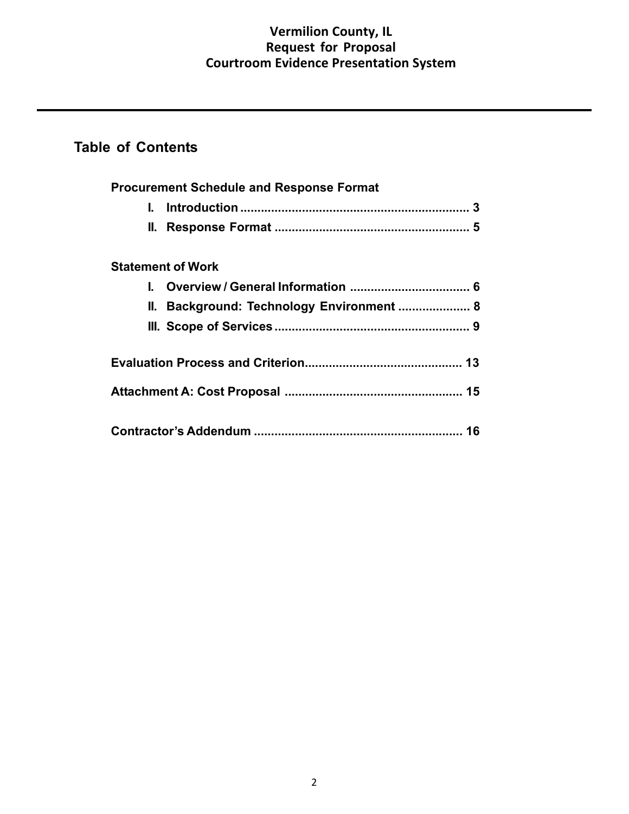## **Vermilion County, IL Request for Proposal Courtroom Evidence Presentation System**

## **Table of Contents**

| <b>Procurement Schedule and Response Format</b> |
|-------------------------------------------------|
| L.                                              |
|                                                 |
| <b>Statement of Work</b>                        |
| L.                                              |
| II. Background: Technology Environment  8       |
|                                                 |
|                                                 |
|                                                 |
|                                                 |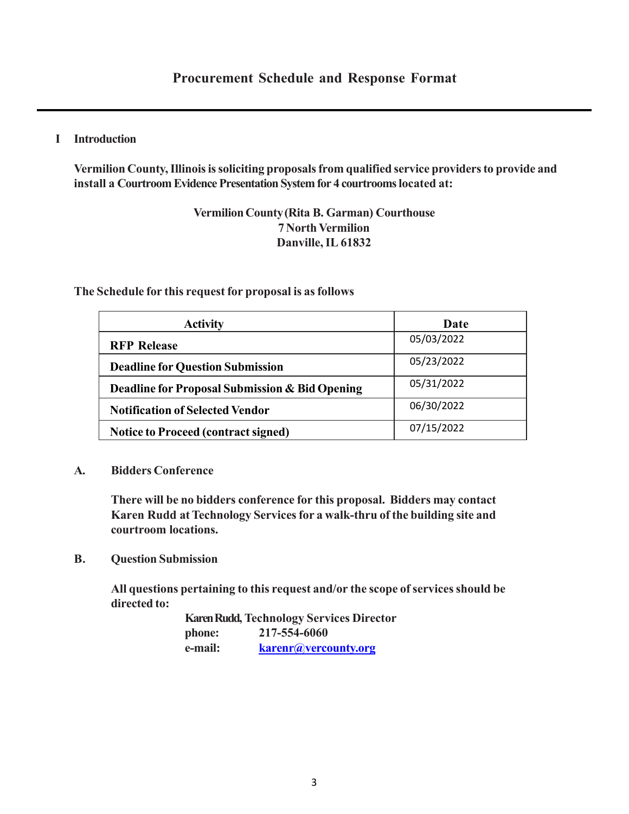## **I Introduction**

**Vermilion County, Illinois is soliciting proposals from qualified service providers to provide and install a Courtroom Evidence Presentation System for 4 courtrooms located at:**

## **Vermilion County (Rita B. Garman) Courthouse 7 North Vermilion Danville, IL 61832**

## **The Schedule for this request for proposal is as follows**

| <b>Activity</b>                                | Date       |
|------------------------------------------------|------------|
| <b>RFP Release</b>                             | 05/03/2022 |
| <b>Deadline for Question Submission</b>        | 05/23/2022 |
| Deadline for Proposal Submission & Bid Opening | 05/31/2022 |
| <b>Notification of Selected Vendor</b>         | 06/30/2022 |
| <b>Notice to Proceed (contract signed)</b>     | 07/15/2022 |

## **A. Bidders Conference**

**There will be no bidders conference for this proposal. Bidders may contact Karen Rudd at Technology Services for a walk-thru of the building site and courtroom locations.**

**B. Question Submission**

**All questions pertaining to this request and/or the scope of services should be directed to:**

> **Karen Rudd, Technology Services Director phone: 217-554-6060 e-mail: karenr@vercounty.org**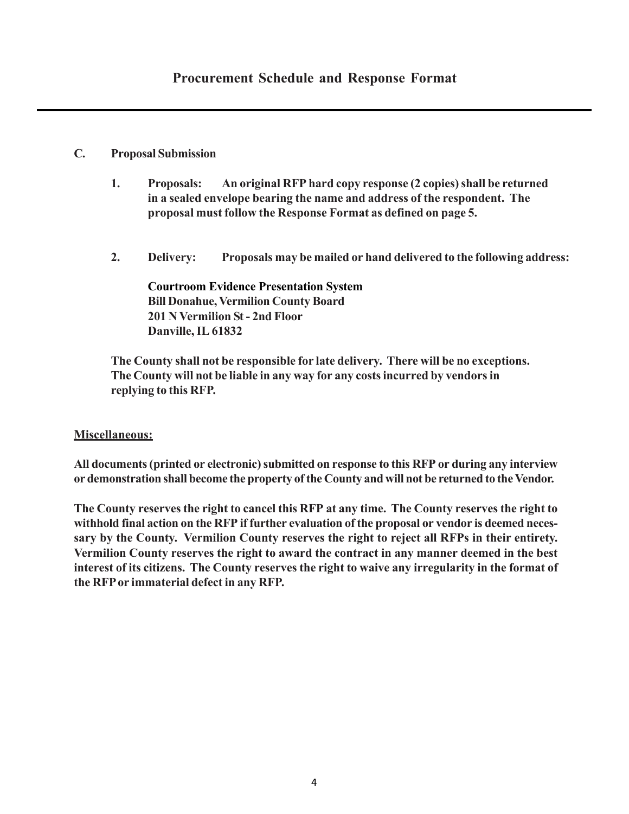## **C. Proposal Submission**

- **1. Proposals: An original RFP hard copy response (2 copies) shall be returned in a sealed envelope bearing the name and address of the respondent. The proposal must follow the Response Format as defined on page 5.**
- **2. Delivery: Proposals may be mailed or hand delivered to the following address:**

**Courtroom Evidence Presentation System Bill Donahue, Vermilion County Board 201 N Vermilion St - 2nd Floor Danville, IL 61832**

**The County shall not be responsible for late delivery. There will be no exceptions. The County will not be liable in any way for any costs incurred by vendors in replying to this RFP.**

## **Miscellaneous:**

**All documents (printed or electronic) submitted on response to this RFP or during any interview or demonstration shall become the property of the County and will not be returned to the Vendor.**

**The County reserves the right to cancel this RFP at any time. The County reserves the right to withhold final action on the RFP if further evaluation of the proposal or vendor is deemed necessary by the County. Vermilion County reserves the right to reject all RFPs in their entirety. Vermilion County reserves the right to award the contract in any manner deemed in the best interest of its citizens. The County reserves the right to waive any irregularity in the format of the RFP or immaterial defect in any RFP.**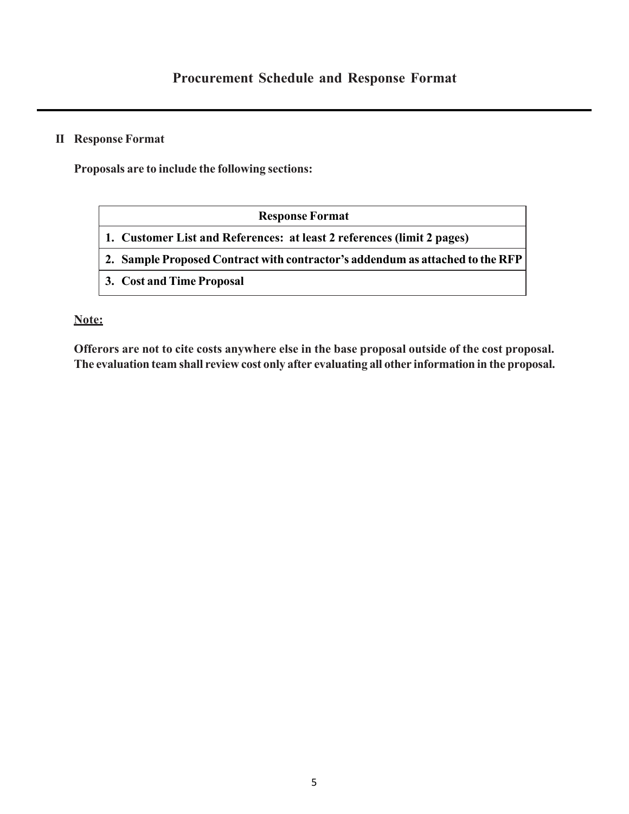## **II Response Format**

**Proposals are to include the following sections:**

| <b>Response Format</b>                                                        |
|-------------------------------------------------------------------------------|
| 1. Customer List and References: at least 2 references (limit 2 pages)        |
| 2. Sample Proposed Contract with contractor's addendum as attached to the RFP |
| 3. Cost and Time Proposal                                                     |

## **Note:**

**Offerors are not to cite costs anywhere else in the base proposal outside of the cost proposal. The evaluation team shall review cost only after evaluating all other information in the proposal.**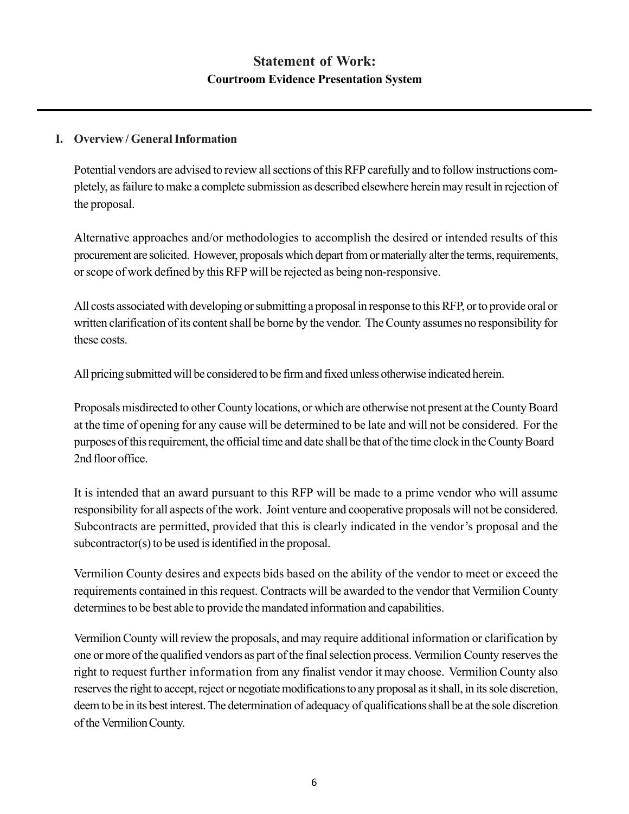## **I. Overview / General Information**

Potential vendors are advised to review all sections of this RFP carefully and to follow instructions completely, as failure to make a complete submission as described elsewhere herein may result in rejection of the proposal.

Alternative approaches and/or methodologies to accomplish the desired or intended results of this procurement are solicited. However, proposals which depart from or materially alter the terms, requirements, or scope of work defined by this RFP will be rejected as being non-responsive.

All costs associated with developing or submitting a proposal in response to this RFP, or to provide oral or written clarification of its content shall be borne by the vendor. The County assumes no responsibility for these costs.

All pricing submitted will be considered to be firm and fixed unless otherwise indicated herein.

Proposals misdirected to other County locations, or which are otherwise not present at the County Board at the time of opening for any cause will be determined to be late and will not be considered. For the purposes of this requirement, the official time and date shall be that of the time clock in the County Board 2nd floor office.

It is intended that an award pursuant to this RFP will be made to a prime vendor who will assume responsibility for all aspects of the work. Joint venture and cooperative proposals will not be considered. Subcontracts are permitted, provided that this is clearly indicated in the vendor's proposal and the subcontractor(s) to be used is identified in the proposal.

Vermilion County desires and expects bids based on the ability of the vendor to meet or exceed the requirements contained in this request. Contracts will be awarded to the vendor that Vermilion County determines to be best able to provide the mandated information and capabilities.

Vermilion County will review the proposals, and may require additional information or clarification by one or more of the qualified vendors as part of the final selection process. Vermilion County reserves the right to request further information from any finalist vendor it may choose. Vermilion County also reserves the right to accept, reject or negotiate modifications to any proposal as it shall, in its sole discretion, deem to be in its best interest. The determination of adequacy of qualifications shall be at the sole discretion of the Vermilion County.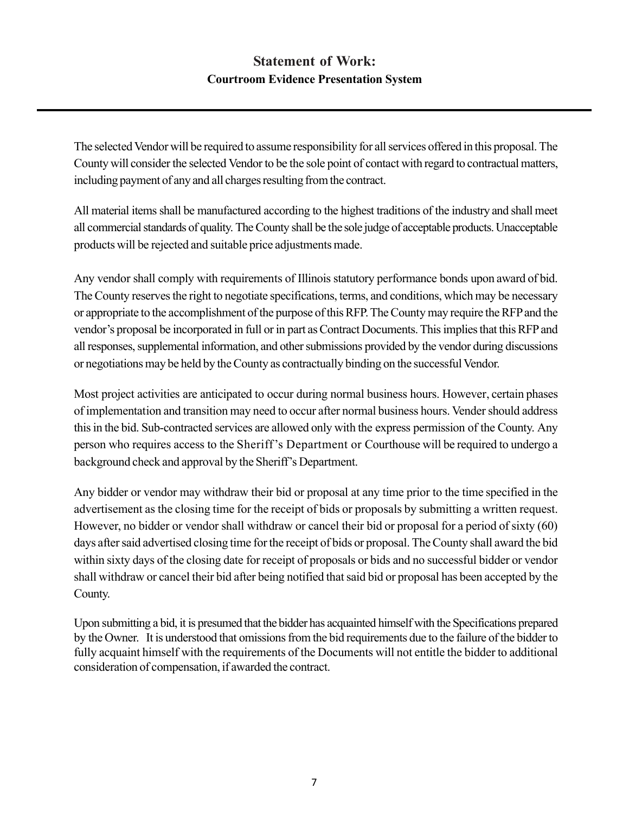## **Statement of Work: Courtroom Evidence Presentation System**

The selected Vendor will be required to assume responsibility for all services offered in this proposal. The County will consider the selected Vendor to be the sole point of contact with regard to contractual matters, including payment of any and all charges resulting from the contract.

All material items shall be manufactured according to the highest traditions of the industry and shall meet all commercial standards of quality. The County shall be the sole judge of acceptable products. Unacceptable products will be rejected and suitable price adjustments made.

Any vendor shall comply with requirements of Illinois statutory performance bonds upon award of bid. The County reserves the right to negotiate specifications, terms, and conditions, which may be necessary or appropriate to the accomplishment of the purpose of this RFP. The County may require the RFP and the vendor's proposal be incorporated in full or in part as Contract Documents. This implies that this RFP and all responses, supplemental information, and other submissions provided by the vendor during discussions or negotiations may be held by the County as contractually binding on the successful Vendor.

Most project activities are anticipated to occur during normal business hours. However, certain phases of implementation and transition may need to occur after normal business hours. Vender should address this in the bid. Sub-contracted services are allowed only with the express permission of the County. Any person who requires access to the Sheriff 's Department or Courthouse will be required to undergo a background check and approval by the Sheriff's Department.

Any bidder or vendor may withdraw their bid or proposal at any time prior to the time specified in the advertisement as the closing time for the receipt of bids or proposals by submitting a written request. However, no bidder or vendor shall withdraw or cancel their bid or proposal for a period of sixty (60) days after said advertised closing time for the receipt of bids or proposal. The County shall award the bid within sixty days of the closing date for receipt of proposals or bids and no successful bidder or vendor shall withdraw or cancel their bid after being notified that said bid or proposal has been accepted by the County.

Upon submitting a bid, it is presumed that the bidder has acquainted himself with the Specifications prepared by the Owner. It is understood that omissions from the bid requirements due to the failure of the bidder to fully acquaint himself with the requirements of the Documents will not entitle the bidder to additional consideration of compensation, if awarded the contract.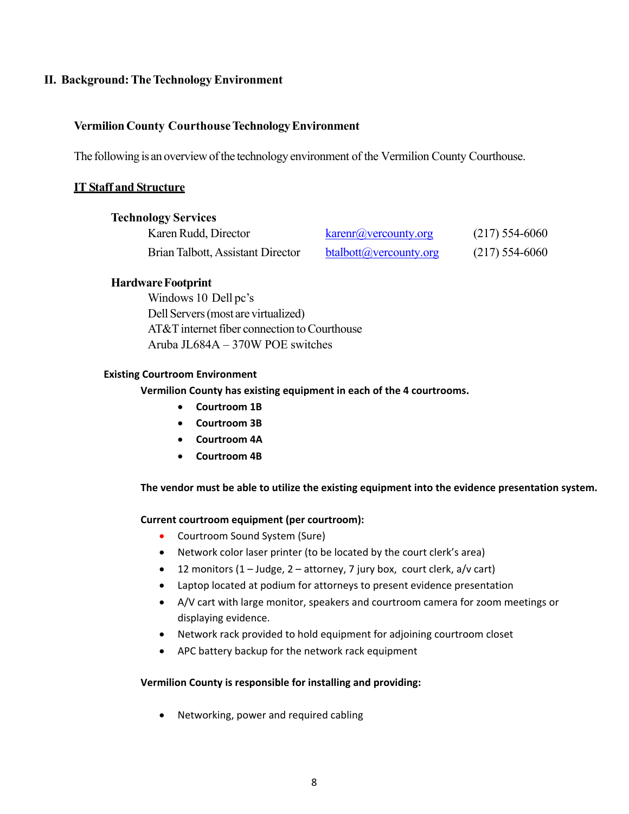## **II. Background: The Technology Environment**

## **Vermilion County Courthouse Technology Environment**

The following is an overview of the technology environment of the Vermilion County Courthouse.

## **IT Staff and Structure**

|  | <b>Technology Services</b> |  |
|--|----------------------------|--|
|  |                            |  |

| Karen Rudd, Director              | $k\arctan(a)$ vercounty.org | $(217)$ 554-6060 |
|-----------------------------------|-----------------------------|------------------|
| Brian Talbott, Assistant Director | btalbott@vercounty.org      | $(217)$ 554-6060 |

## **Hardware Footprint**

Windows 10 Dell pc's Dell Servers (most are virtualized) AT&T internet fiber connection to Courthouse Aruba JL684A – 370W POE switches

### **Existing Courtroom Environment**

 **Vermilion County has existing equipment in each of the 4 courtrooms.** 

- **Courtroom 1B**
- **Courtroom 3B**
- **Courtroom 4A**
- **Courtroom 4B**

**The vendor must be able to utilize the existing equipment into the evidence presentation system.** 

### **Current courtroom equipment (per courtroom):**

- Courtroom Sound System (Sure)
- Network color laser printer (to be located by the court clerk's area)
- 12 monitors (1 Judge, 2 attorney, 7 jury box, court clerk, a/v cart)
- Laptop located at podium for attorneys to present evidence presentation
- A/V cart with large monitor, speakers and courtroom camera for zoom meetings or displaying evidence.
- Network rack provided to hold equipment for adjoining courtroom closet
- APC battery backup for the network rack equipment

### **Vermilion County is responsible for installing and providing:**

Networking, power and required cabling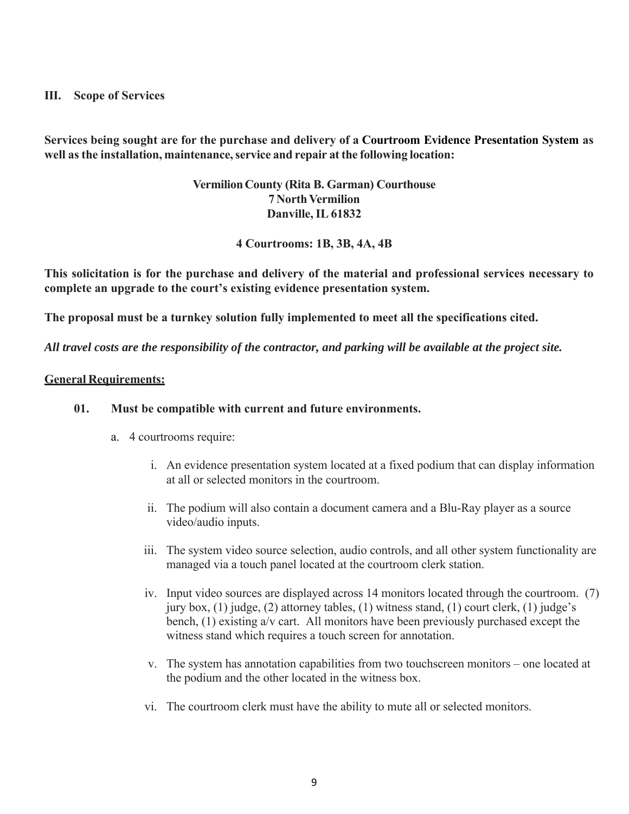## **III. Scope of Services**

**Services being sought are for the purchase and delivery of a Courtroom Evidence Presentation System as well as the installation, maintenance, service and repair at the following location:**

## **Vermilion County (Rita B. Garman) Courthouse 7 North Vermilion Danville, IL 61832**

**4 Courtrooms: 1B, 3B, 4A, 4B** 

**This solicitation is for the purchase and delivery of the material and professional services necessary to complete an upgrade to the court's existing evidence presentation system.** 

**The proposal must be a turnkey solution fully implemented to meet all the specifications cited.** 

*All travel costs are the responsibility of the contractor, and parking will be available at the project site.* 

## **General Requirements:**

## **01. Must be compatible with current and future environments.**

- a. 4 courtrooms require:
	- i. An evidence presentation system located at a fixed podium that can display information at all or selected monitors in the courtroom.
	- ii. The podium will also contain a document camera and a Blu-Ray player as a source video/audio inputs.
	- iii. The system video source selection, audio controls, and all other system functionality are managed via a touch panel located at the courtroom clerk station.
	- iv. Input video sources are displayed across 14 monitors located through the courtroom. (7) jury box, (1) judge, (2) attorney tables, (1) witness stand, (1) court clerk, (1) judge's bench, (1) existing a/v cart. All monitors have been previously purchased except the witness stand which requires a touch screen for annotation.
	- v. The system has annotation capabilities from two touchscreen monitors one located at the podium and the other located in the witness box.
	- vi. The courtroom clerk must have the ability to mute all or selected monitors.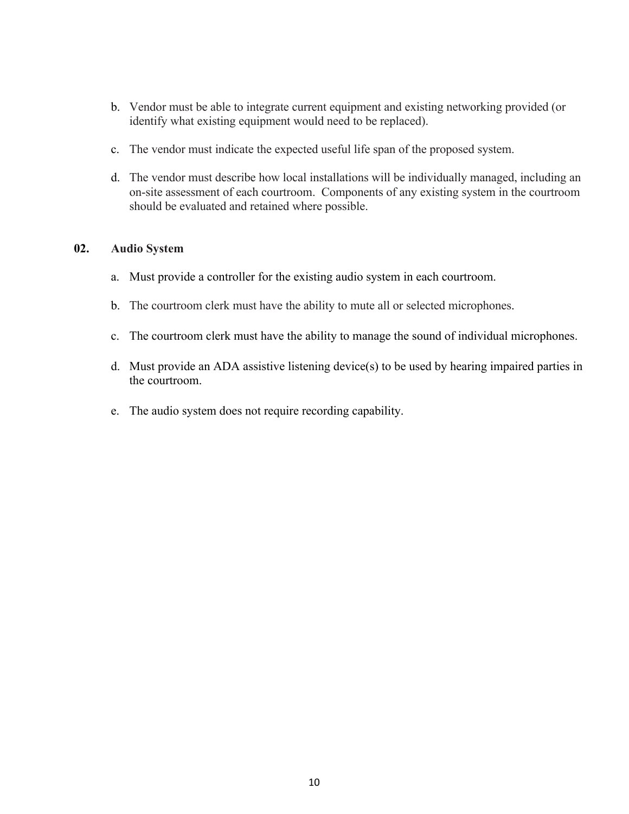- b. Vendor must be able to integrate current equipment and existing networking provided (or identify what existing equipment would need to be replaced).
- c. The vendor must indicate the expected useful life span of the proposed system.
- d. The vendor must describe how local installations will be individually managed, including an on-site assessment of each courtroom. Components of any existing system in the courtroom should be evaluated and retained where possible.

## **02. Audio System**

- a. Must provide a controller for the existing audio system in each courtroom.
- b. The courtroom clerk must have the ability to mute all or selected microphones.
- c. The courtroom clerk must have the ability to manage the sound of individual microphones.
- d. Must provide an ADA assistive listening device(s) to be used by hearing impaired parties in the courtroom.
- e. The audio system does not require recording capability.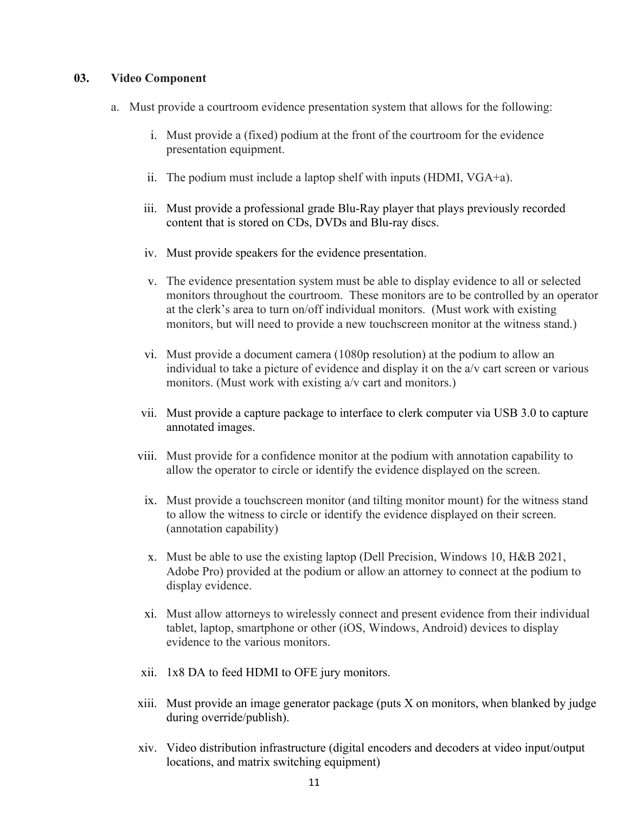## **03. Video Component**

- a. Must provide a courtroom evidence presentation system that allows for the following:
	- i. Must provide a (fixed) podium at the front of the courtroom for the evidence presentation equipment.
	- ii. The podium must include a laptop shelf with inputs (HDMI, VGA+a).
	- iii. Must provide a professional grade Blu-Ray player that plays previously recorded content that is stored on CDs, DVDs and Blu-ray discs.
	- iv. Must provide speakers for the evidence presentation.
	- v. The evidence presentation system must be able to display evidence to all or selected monitors throughout the courtroom. These monitors are to be controlled by an operator at the clerk's area to turn on/off individual monitors. (Must work with existing monitors, but will need to provide a new touchscreen monitor at the witness stand.)
	- vi. Must provide a document camera (1080p resolution) at the podium to allow an individual to take a picture of evidence and display it on the a/v cart screen or various monitors. (Must work with existing a/v cart and monitors.)
	- vii. Must provide a capture package to interface to clerk computer via USB 3.0 to capture annotated images.
	- viii. Must provide for a confidence monitor at the podium with annotation capability to allow the operator to circle or identify the evidence displayed on the screen.
		- ix. Must provide a touchscreen monitor (and tilting monitor mount) for the witness stand to allow the witness to circle or identify the evidence displayed on their screen. (annotation capability)
		- x. Must be able to use the existing laptop (Dell Precision, Windows 10, H&B 2021, Adobe Pro) provided at the podium or allow an attorney to connect at the podium to display evidence.
		- xi. Must allow attorneys to wirelessly connect and present evidence from their individual tablet, laptop, smartphone or other (iOS, Windows, Android) devices to display evidence to the various monitors.
	- xii. 1x8 DA to feed HDMI to OFE jury monitors.
	- xiii. Must provide an image generator package (puts X on monitors, when blanked by judge during override/publish).
	- xiv. Video distribution infrastructure (digital encoders and decoders at video input/output locations, and matrix switching equipment)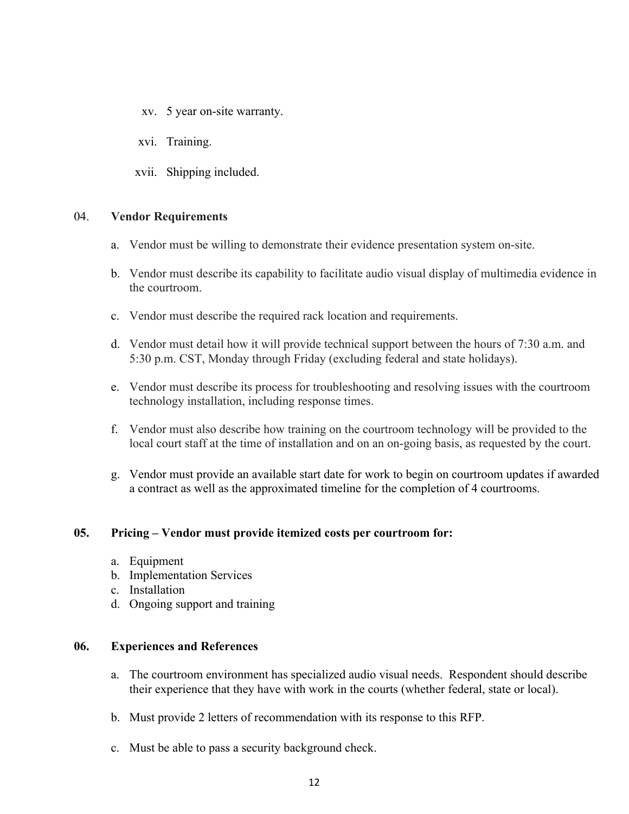- xv. 5 year on-site warranty.
- xvi. Training.
- xvii. Shipping included.

### 04. **Vendor Requirements**

- a. Vendor must be willing to demonstrate their evidence presentation system on-site.
- b. Vendor must describe its capability to facilitate audio visual display of multimedia evidence in the courtroom.
- c. Vendor must describe the required rack location and requirements.
- d. Vendor must detail how it will provide technical support between the hours of 7:30 a.m. and 5:30 p.m. CST, Monday through Friday (excluding federal and state holidays).
- e. Vendor must describe its process for troubleshooting and resolving issues with the courtroom technology installation, including response times.
- f. Vendor must also describe how training on the courtroom technology will be provided to the local court staff at the time of installation and on an on-going basis, as requested by the court.
- g. Vendor must provide an available start date for work to begin on courtroom updates if awarded a contract as well as the approximated timeline for the completion of 4 courtrooms.

## **05. Pricing – Vendor must provide itemized costs per courtroom for:**

- a. Equipment
- b. Implementation Services
- c. Installation
- d. Ongoing support and training

### **06. Experiences and References**

- a. The courtroom environment has specialized audio visual needs. Respondent should describe their experience that they have with work in the courts (whether federal, state or local).
- b. Must provide 2 letters of recommendation with its response to this RFP.
- c. Must be able to pass a security background check.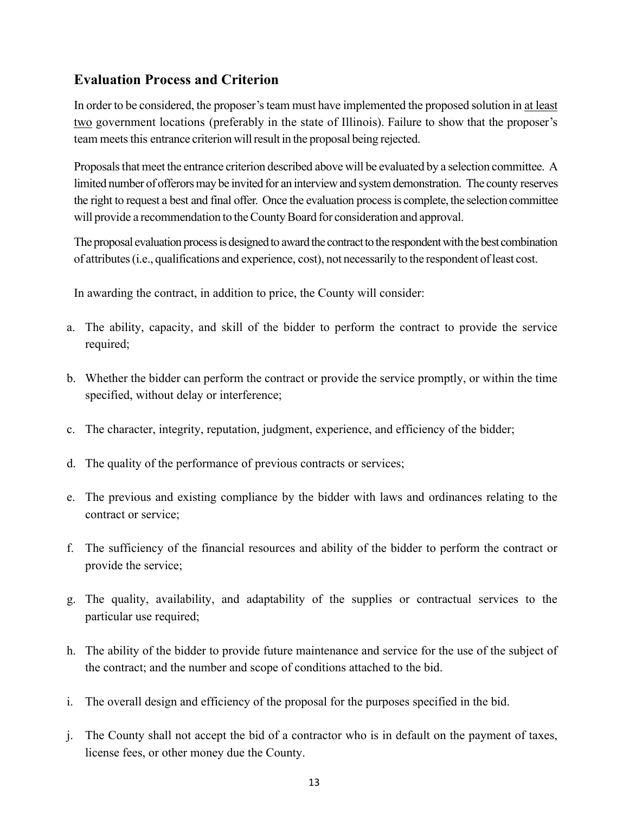## **Evaluation Process and Criterion**

In order to be considered, the proposer's team must have implemented the proposed solution in at least two government locations (preferably in the state of Illinois). Failure to show that the proposer's team meets this entrance criterion will result in the proposal being rejected.

Proposals that meet the entrance criterion described above will be evaluated by a selection committee. A limited number of offerors may be invited for an interview and system demonstration. The county reserves the right to request a best and final offer. Once the evaluation process is complete, the selection committee will provide a recommendation to the County Board for consideration and approval.

The proposal evaluation process is designed to award the contract to the respondent with the best combination of attributes (i.e., qualifications and experience, cost), not necessarily to the respondent of least cost.

In awarding the contract, in addition to price, the County will consider:

- a. The ability, capacity, and skill of the bidder to perform the contract to provide the service required;
- b. Whether the bidder can perform the contract or provide the service promptly, or within the time specified, without delay or interference;
- c. The character, integrity, reputation, judgment, experience, and efficiency of the bidder;
- d. The quality of the performance of previous contracts or services;
- e. The previous and existing compliance by the bidder with laws and ordinances relating to the contract or service;
- f. The sufficiency of the financial resources and ability of the bidder to perform the contract or provide the service;
- g. The quality, availability, and adaptability of the supplies or contractual services to the particular use required;
- h. The ability of the bidder to provide future maintenance and service for the use of the subject of the contract; and the number and scope of conditions attached to the bid.
- i. The overall design and efficiency of the proposal for the purposes specified in the bid.
- j. The County shall not accept the bid of a contractor who is in default on the payment of taxes, license fees, or other money due the County.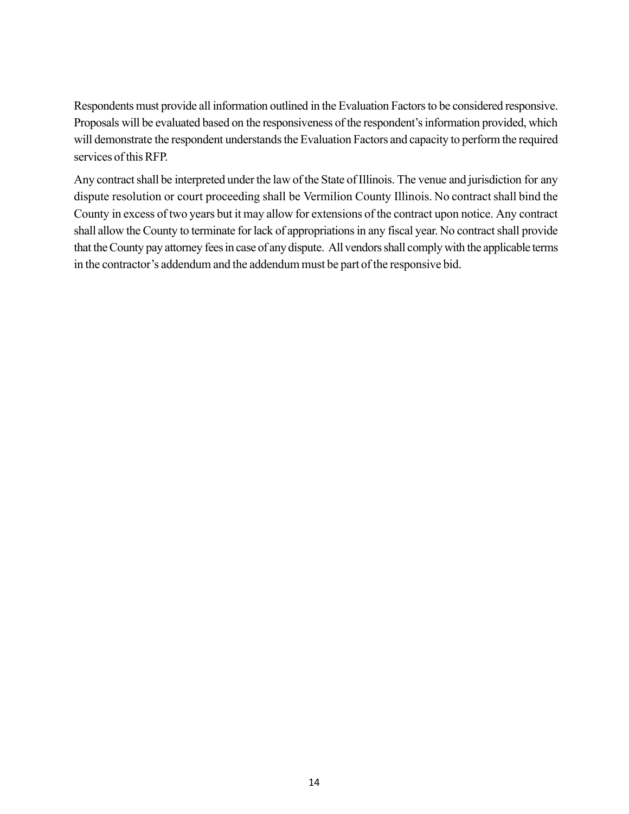Respondents must provide all information outlined in the Evaluation Factors to be considered responsive. Proposals will be evaluated based on the responsiveness of the respondent's information provided, which will demonstrate the respondent understands the Evaluation Factors and capacity to perform the required services of this RFP.

Any contract shall be interpreted under the law of the State of Illinois. The venue and jurisdiction for any dispute resolution or court proceeding shall be Vermilion County Illinois. No contract shall bind the County in excess of two years but it may allow for extensions of the contract upon notice. Any contract shall allow the County to terminate for lack of appropriations in any fiscal year. No contract shall provide that the County pay attorney fees in case of any dispute. All vendors shall comply with the applicable terms in the contractor's addendum and the addendum must be part of the responsive bid.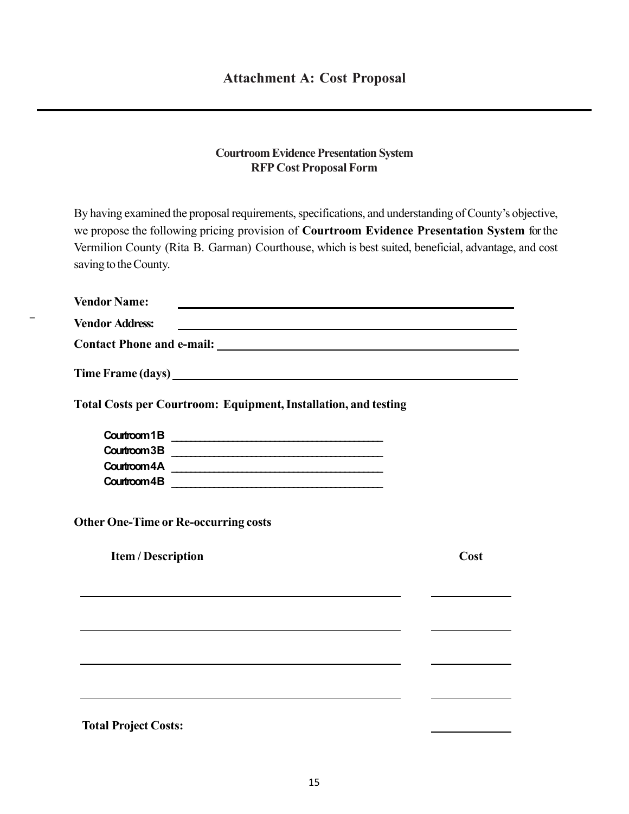## **Courtroom Evidence Presentation System RFP Cost Proposal Form**

By having examined the proposal requirements, specifications, and understanding of County's objective, we propose the following pricing provision of **Courtroom Evidence Presentation System** for the Vermilion County (Rita B. Garman) Courthouse, which is best suited, beneficial, advantage, and cost saving to the County.

| <b>Vendor Name:</b>                                                    |      |
|------------------------------------------------------------------------|------|
| <b>Vendor Address:</b>                                                 |      |
|                                                                        |      |
| Time Frame (days) https://www.accommunity.com/                         |      |
| <b>Total Costs per Courtroom: Equipment, Installation, and testing</b> |      |
| Courtroom 1B                                                           |      |
| Courtroom 3B                                                           |      |
|                                                                        |      |
| Courtroom 4B                                                           |      |
| <b>Other One-Time or Re-occurring costs</b>                            |      |
| <b>Item / Description</b>                                              | Cost |
|                                                                        |      |
|                                                                        |      |
|                                                                        |      |
|                                                                        |      |
|                                                                        |      |
| <b>Total Project Costs:</b>                                            |      |

\_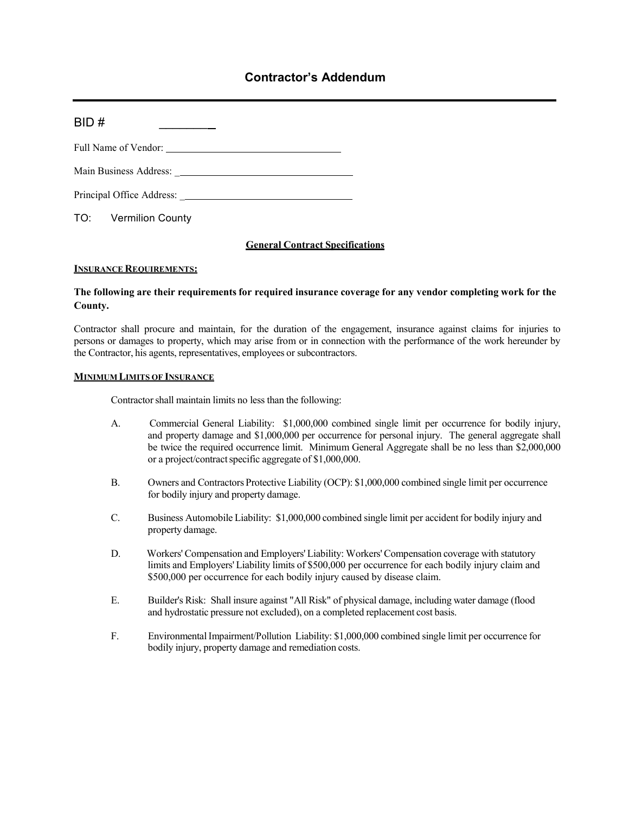## **Contractor's Addendum**

| BID# |
|------|
|      |
|      |
|      |

TO: Vermilion County

### **General Contract Specifications**

### **INSURANCE REQUIREMENTS:**

### **The following are their requirements for required insurance coverage for any vendor completing work for the County.**

Contractor shall procure and maintain, for the duration of the engagement, insurance against claims for injuries to persons or damages to property, which may arise from or in connection with the performance of the work hereunder by the Contractor, his agents, representatives, employees or subcontractors.

### **MINIMUM LIMITS OF INSURANCE**

Contractor shall maintain limits no less than the following:

- A. Commercial General Liability: \$1,000,000 combined single limit per occurrence for bodily injury, and property damage and \$1,000,000 per occurrence for personal injury. The general aggregate shall be twice the required occurrence limit. Minimum General Aggregate shall be no less than \$2,000,000 or a project/contract specific aggregate of \$1,000,000.
- B. Owners and Contractors Protective Liability (OCP): \$1,000,000 combined single limit per occurrence for bodily injury and property damage.
- C. Business Automobile Liability: \$1,000,000 combined single limit per accident for bodily injury and property damage.
- D. Workers' Compensation and Employers' Liability: Workers' Compensation coverage with statutory limits and Employers' Liability limits of \$500,000 per occurrence for each bodily injury claim and \$500,000 per occurrence for each bodily injury caused by disease claim.
- E. Builder's Risk: Shall insure against "All Risk" of physical damage, including water damage (flood and hydrostatic pressure not excluded), on a completed replacement cost basis.
- F. Environmental Impairment/Pollution Liability: \$1,000,000 combined single limit per occurrence for bodily injury, property damage and remediation costs.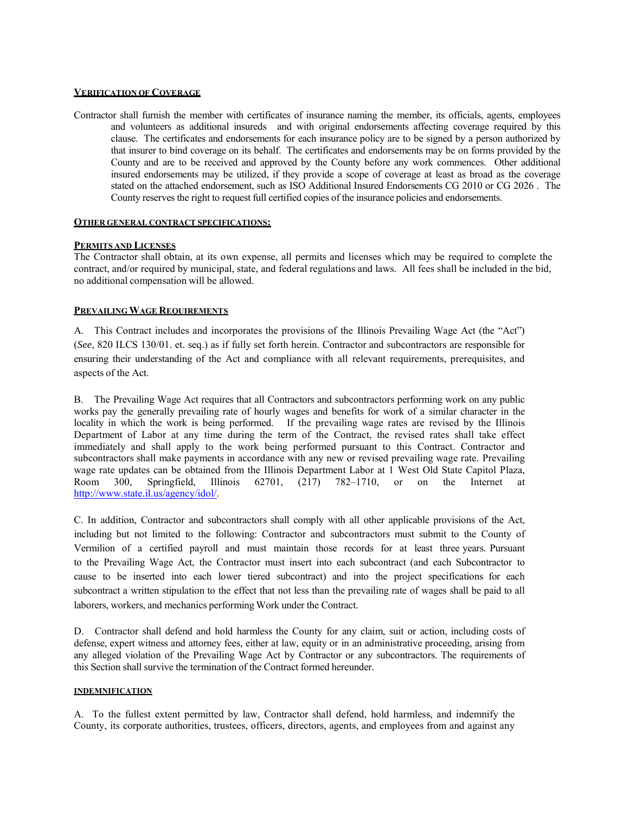### **VERIFICATION OF COVERAGE**

Contractor shall furnish the member with certificates of insurance naming the member, its officials, agents, employees and volunteers as additional insureds and with original endorsements affecting coverage required by this clause. The certificates and endorsements for each insurance policy are to be signed by a person authorized by that insurer to bind coverage on its behalf. The certificates and endorsements may be on forms provided by the County and are to be received and approved by the County before any work commences. Other additional insured endorsements may be utilized, if they provide a scope of coverage at least as broad as the coverage stated on the attached endorsement, such as ISO Additional Insured Endorsements CG 2010 or CG 2026 . The County reserves the right to request full certified copies of the insurance policies and endorsements.

#### **OTHER GENERAL CONTRACT SPECIFICATIONS:**

### **PERMITS AND LICENSES**

The Contractor shall obtain, at its own expense, all permits and licenses which may be required to complete the contract, and/or required by municipal, state, and federal regulations and laws. All fees shall be included in the bid, no additional compensation will be allowed.

#### **PREVAILING WAGE REQUIREMENTS**

A. This Contract includes and incorporates the provisions of the Illinois Prevailing Wage Act (the "Act") (*See*, 820 ILCS 130/01. et. seq.) as if fully set forth herein. Contractor and subcontractors are responsible for ensuring their understanding of the Act and compliance with all relevant requirements, prerequisites, and aspects of the Act.

B. The Prevailing Wage Act requires that all Contractors and subcontractors performing work on any public works pay the generally prevailing rate of hourly wages and benefits for work of a similar character in the locality in which the work is being performed. If the prevailing wage rates are revised by the Illinois Department of Labor at any time during the term of the Contract, the revised rates shall take effect immediately and shall apply to the work being performed pursuant to this Contract. Contractor and subcontractors shall make payments in accordance with any new or revised prevailing wage rate. Prevailing wage rate updates can be obtained from the Illinois Department Labor at 1 West Old State Capitol Plaza, Room 300, Springfield, Illinois 62701, (217) 782–1710, or on the Internet at http://www.state.il.us/agency/idol/.

C. In addition, Contractor and subcontractors shall comply with all other applicable provisions of the Act, including but not limited to the following: Contractor and subcontractors must submit to the County of Vermilion of a certified payroll and must maintain those records for at least three years. Pursuant to the Prevailing Wage Act, the Contractor must insert into each subcontract (and each Subcontractor to cause to be inserted into each lower tiered subcontract) and into the project specifications for each subcontract a written stipulation to the effect that not less than the prevailing rate of wages shall be paid to all laborers, workers, and mechanics performing Work under the Contract.

D. Contractor shall defend and hold harmless the County for any claim, suit or action, including costs of defense, expert witness and attorney fees, either at law, equity or in an administrative proceeding, arising from any alleged violation of the Prevailing Wage Act by Contractor or any subcontractors. The requirements of this Section shall survive the termination of the Contract formed hereunder.

#### **INDEMNIFICATION**

A. To the fullest extent permitted by law, Contractor shall defend, hold harmless, and indemnify the County, its corporate authorities, trustees, officers, directors, agents, and employees from and against any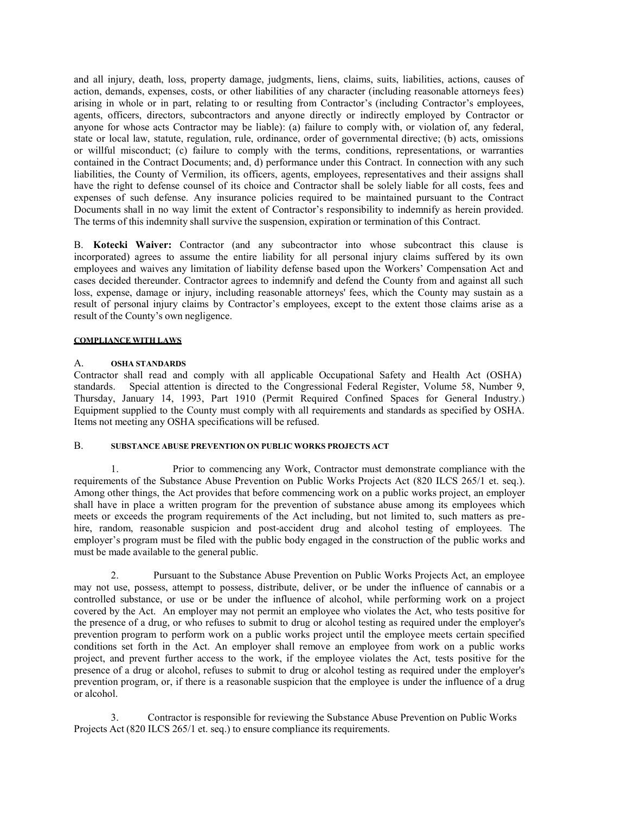and all injury, death, loss, property damage, judgments, liens, claims, suits, liabilities, actions, causes of action, demands, expenses, costs, or other liabilities of any character (including reasonable attorneys fees) arising in whole or in part, relating to or resulting from Contractor's (including Contractor's employees, agents, officers, directors, subcontractors and anyone directly or indirectly employed by Contractor or anyone for whose acts Contractor may be liable): (a) failure to comply with, or violation of, any federal, state or local law, statute, regulation, rule, ordinance, order of governmental directive; (b) acts, omissions or willful misconduct; (c) failure to comply with the terms, conditions, representations, or warranties contained in the Contract Documents; and, d) performance under this Contract. In connection with any such liabilities, the County of Vermilion, its officers, agents, employees, representatives and their assigns shall have the right to defense counsel of its choice and Contractor shall be solely liable for all costs, fees and expenses of such defense. Any insurance policies required to be maintained pursuant to the Contract Documents shall in no way limit the extent of Contractor's responsibility to indemnify as herein provided. The terms of this indemnity shall survive the suspension, expiration or termination of this Contract.

B. **Kotecki Waiver:** Contractor (and any subcontractor into whose subcontract this clause is incorporated) agrees to assume the entire liability for all personal injury claims suffered by its own employees and waives any limitation of liability defense based upon the Workers' Compensation Act and cases decided thereunder. Contractor agrees to indemnify and defend the County from and against all such loss, expense, damage or injury, including reasonable attorneys' fees, which the County may sustain as a result of personal injury claims by Contractor's employees, except to the extent those claims arise as a result of the County's own negligence.

### **COMPLIANCE WITH LAWS**

### A. **OSHA STANDARDS**

Contractor shall read and comply with all applicable Occupational Safety and Health Act (OSHA) standards. Special attention is directed to the Congressional Federal Register, Volume 58, Number 9, Thursday, January 14, 1993, Part 1910 (Permit Required Confined Spaces for General Industry.) Equipment supplied to the County must comply with all requirements and standards as specified by OSHA. Items not meeting any OSHA specifications will be refused.

### B. **SUBSTANCE ABUSE PREVENTION ON PUBLIC WORKS PROJECTS ACT**

1. Prior to commencing any Work, Contractor must demonstrate compliance with the requirements of the Substance Abuse Prevention on Public Works Projects Act (820 ILCS 265/1 et. seq.). Among other things, the Act provides that before commencing work on a public works project, an employer shall have in place a written program for the prevention of substance abuse among its employees which meets or exceeds the program requirements of the Act including, but not limited to, such matters as prehire, random, reasonable suspicion and post-accident drug and alcohol testing of employees. The employer's program must be filed with the public body engaged in the construction of the public works and must be made available to the general public.

2. Pursuant to the Substance Abuse Prevention on Public Works Projects Act, an employee may not use, possess, attempt to possess, distribute, deliver, or be under the influence of cannabis or a controlled substance, or use or be under the influence of alcohol, while performing work on a project covered by the Act. An employer may not permit an employee who violates the Act, who tests positive for the presence of a drug, or who refuses to submit to drug or alcohol testing as required under the employer's prevention program to perform work on a public works project until the employee meets certain specified conditions set forth in the Act. An employer shall remove an employee from work on a public works project, and prevent further access to the work, if the employee violates the Act, tests positive for the presence of a drug or alcohol, refuses to submit to drug or alcohol testing as required under the employer's prevention program, or, if there is a reasonable suspicion that the employee is under the influence of a drug or alcohol.

3. Contractor is responsible for reviewing the Substance Abuse Prevention on Public Works Projects Act (820 ILCS 265/1 et. seq.) to ensure compliance its requirements.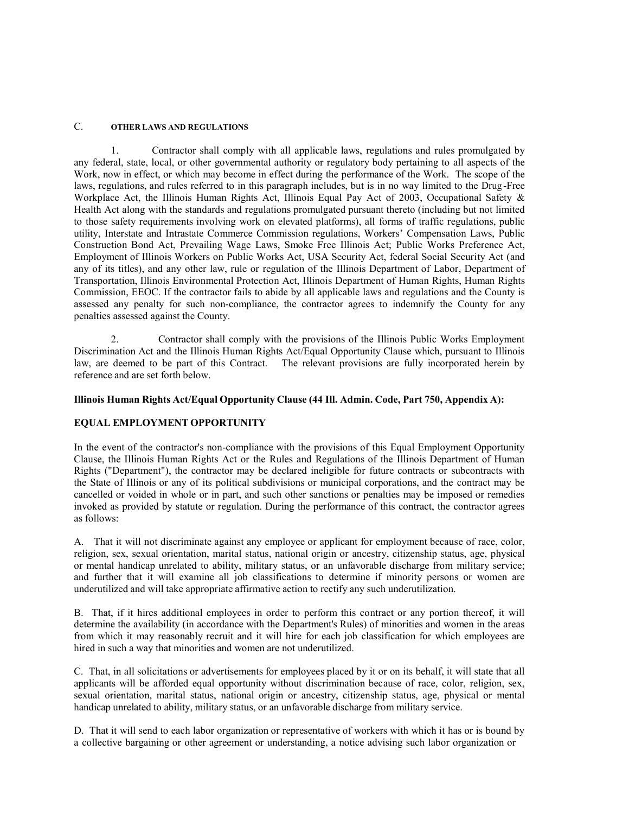### C. **OTHER LAWS AND REGULATIONS**

Contractor shall comply with all applicable laws, regulations and rules promulgated by any federal, state, local, or other governmental authority or regulatory body pertaining to all aspects of the Work, now in effect, or which may become in effect during the performance of the Work. The scope of the laws, regulations, and rules referred to in this paragraph includes, but is in no way limited to the Drug -Free Workplace Act, the Illinois Human Rights Act, Illinois Equal Pay Act of 2003, Occupational Safety & Health Act along with the standards and regulations promulgated pursuant thereto (including but not limited to those safety requirements involving work on elevated platforms), all forms of traffic regulations, public utility, Interstate and Intrastate Commerce Commission regulations, Workers' Compensation Laws, Public Construction Bond Act, Prevailing Wage Laws, Smoke Free Illinois Act; Public Works Preference Act, Employment of Illinois Workers on Public Works Act, USA Security Act, federal Social Security Act (and any of its titles), and any other law, rule or regulation of the Illinois Department of Labor, Department of Transportation, Illinois Environmental Protection Act, Illinois Department of Human Rights, Human Rights Commission, EEOC. If the contractor fails to abide by all applicable laws and regulations and the County is assessed any penalty for such non-compliance, the contractor agrees to indemnify the County for any penalties assessed against the County.

2. Contractor shall comply with the provisions of the Illinois Public Works Employment Discrimination Act and the Illinois Human Rights Act/Equal Opportunity Clause which, pursuant to Illinois law, are deemed to be part of this Contract. The relevant provisions are fully incorporated herein by reference and are set forth below.

### **Illinois Human Rights Act/Equal Opportunity Clause (44 Ill. Admin. Code, Part 750, Appendix A):**

### **EQUAL EMPLOYMENT OPPORTUNITY**

In the event of the contractor's non-compliance with the provisions of this Equal Employment Opportunity Clause, the Illinois Human Rights Act or the Rules and Regulations of the Illinois Department of Human Rights ("Department"), the contractor may be declared ineligible for future contracts or subcontracts with the State of Illinois or any of its political subdivisions or municipal corporations, and the contract may be cancelled or voided in whole or in part, and such other sanctions or penalties may be imposed or remedies invoked as provided by statute or regulation. During the performance of this contract, the contractor agrees as follows:

A. That it will not discriminate against any employee or applicant for employment because of race, color, religion, sex, sexual orientation, marital status, national origin or ancestry, citizenship status, age, physical or mental handicap unrelated to ability, military status, or an unfavorable discharge from military service; and further that it will examine all job classifications to determine if minority persons or women are underutilized and will take appropriate affirmative action to rectify any such underutilization.

B. That, if it hires additional employees in order to perform this contract or any portion thereof, it will determine the availability (in accordance with the Department's Rules) of minorities and women in the areas from which it may reasonably recruit and it will hire for each job classification for which employees are hired in such a way that minorities and women are not underutilized.

C. That, in all solicitations or advertisements for employees placed by it or on its behalf, it will state that all applicants will be afforded equal opportunity without discrimination because of race, color, religion, sex, sexual orientation, marital status, national origin or ancestry, citizenship status, age, physical or mental handicap unrelated to ability, military status, or an unfavorable discharge from military service.

D. That it will send to each labor organization or representative of workers with which it has or is bound by a collective bargaining or other agreement or understanding, a notice advising such labor organization or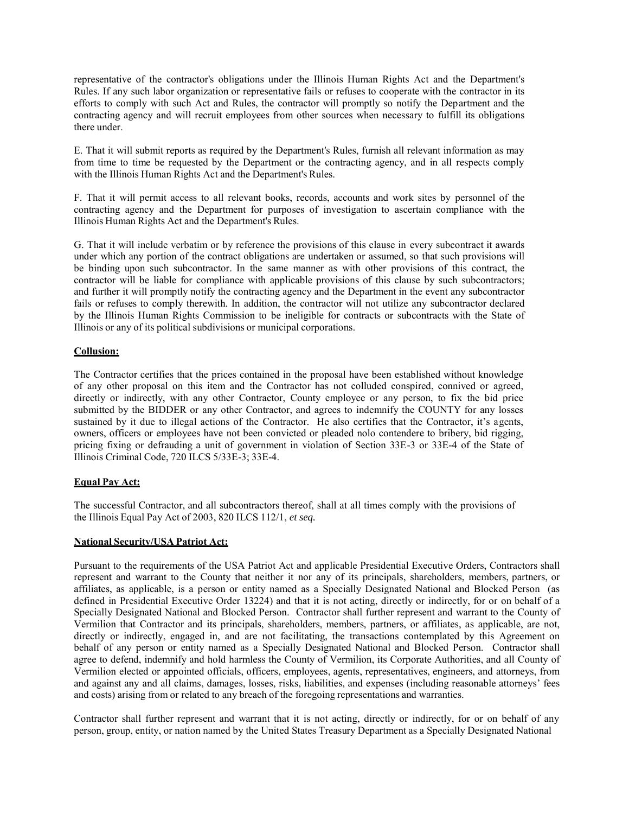representative of the contractor's obligations under the Illinois Human Rights Act and the Department's Rules. If any such labor organization or representative fails or refuses to cooperate with the contractor in its efforts to comply with such Act and Rules, the contractor will promptly so notify the Dep artment and the contracting agency and will recruit employees from other sources when necessary to fulfill its obligations there under.

E. That it will submit reports as required by the Department's Rules, furnish all relevant information as may from time to time be requested by the Department or the contracting agency, and in all respects comply with the Illinois Human Rights Act and the Department's Rules.

F. That it will permit access to all relevant books, records, accounts and work sites by personnel of the contracting agency and the Department for purposes of investigation to ascertain compliance with the Illinois Human Rights Act and the Department's Rules.

G. That it will include verbatim or by reference the provisions of this clause in every subcontract it awards under which any portion of the contract obligations are undertaken or assumed, so that such provisions will be binding upon such subcontractor. In the same manner as with other provisions of this contract, the contractor will be liable for compliance with applicable provisions of this clause by such subcontractors; and further it will promptly notify the contracting agency and the Department in the event any subcontractor fails or refuses to comply therewith. In addition, the contractor will not utilize any subcontractor declared by the Illinois Human Rights Commission to be ineligible for contracts or subcontracts with the State of Illinois or any of its political subdivisions or municipal corporations.

### **Collusion:**

The Contractor certifies that the prices contained in the proposal have been established without knowledge of any other proposal on this item and the Contractor has not colluded conspired, connived or agreed, directly or indirectly, with any other Contractor, County employee or any person, to fix the bid price submitted by the BIDDER or any other Contractor, and agrees to indemnify the COUNTY for any losses sustained by it due to illegal actions of the Contractor. He also certifies that the Contractor, it's a gents, owners, officers or employees have not been convicted or pleaded nolo contendere to bribery, bid rigging, pricing fixing or defrauding a unit of government in violation of Section 33E-3 or 33E-4 of the State of Illinois Criminal Code, 720 ILCS 5/33E-3; 33E-4.

### **Equal Pay Act:**

The successful Contractor, and all subcontractors thereof, shall at all times comply with the provisions of the Illinois Equal Pay Act of 2003, 820 ILCS 112/1, *et seq.*

### **National Security/USA Patriot Act:**

Pursuant to the requirements of the USA Patriot Act and applicable Presidential Executive Orders, Contractors shall represent and warrant to the County that neither it nor any of its principals, shareholders, members, partners, or affiliates, as applicable, is a person or entity named as a Specially Designated National and Blocked Person (as defined in Presidential Executive Order 13224) and that it is not acting, directly or indirectly, for or on behalf of a Specially Designated National and Blocked Person. Contractor shall further represent and warrant to the County of Vermilion that Contractor and its principals, shareholders, members, partners, or affiliates, as applicable, are not, directly or indirectly, engaged in, and are not facilitating, the transactions contemplated by this Agreement on behalf of any person or entity named as a Specially Designated National and Blocked Person. Contractor shall agree to defend, indemnify and hold harmless the County of Vermilion, its Corporate Authorities, and all County of Vermilion elected or appointed officials, officers, employees, agents, representatives, engineers, and attorneys, from and against any and all claims, damages, losses, risks, liabilities, and expenses (including reasonable attorneys' fees and costs) arising from or related to any breach of the foregoing representations and warranties.

Contractor shall further represent and warrant that it is not acting, directly or indirectly, for or on behalf of any person, group, entity, or nation named by the United States Treasury Department as a Specially Designated National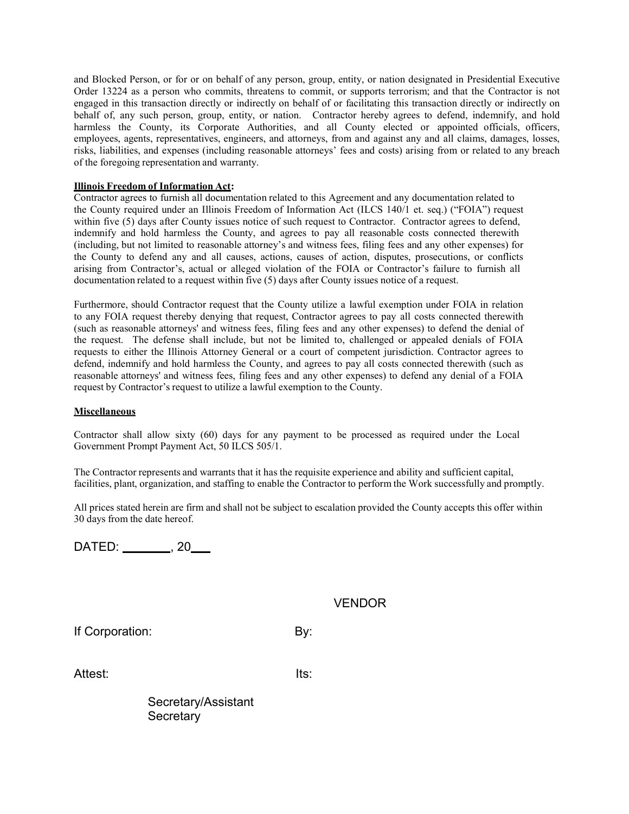and Blocked Person, or for or on behalf of any person, group, entity, or nation designated in Presidential Executive Order 13224 as a person who commits, threatens to commit, or supports terrorism; and that the Contractor is not engaged in this transaction directly or indirectly on behalf of or facilitating this transaction directly or indirectly on behalf of, any such person, group, entity, or nation. Contractor hereby agrees to defend, indemnify, and hold harmless the County, its Corporate Authorities, and all County elected or appointed officials, officers, employees, agents, representatives, engineers, and attorneys, from and against any and all claims, damages, losses, risks, liabilities, and expenses (including reasonable attorneys' fees and costs) arising from or related to any breach of the foregoing representation and warranty.

### **Illinois Freedom of Information Act:**

Contractor agrees to furnish all documentation related to this Agreement and any documentation related to the County required under an Illinois Freedom of Information Act (ILCS 140/1 et. seq.) ("FOIA") request within five (5) days after County issues notice of such request to Contractor. Contractor agrees to defend, indemnify and hold harmless the County, and agrees to pay all reasonable costs connected therewith (including, but not limited to reasonable attorney's and witness fees, filing fees and any other expenses) for the County to defend any and all causes, actions, causes of action, disputes, prosecutions, or conflicts arising from Contractor's, actual or alleged violation of the FOIA or Contractor's failure to furnish all documentation related to a request within five (5) days after County issues notice of a request.

Furthermore, should Contractor request that the County utilize a lawful exemption under FOIA in relation to any FOIA request thereby denying that request, Contractor agrees to pay all costs connected therewith (such as reasonable attorneys' and witness fees, filing fees and any other expenses) to defend the denial of the request. The defense shall include, but not be limited to, challenged or appealed denials of FOIA requests to either the Illinois Attorney General or a court of competent jurisdiction. Contractor agrees to defend, indemnify and hold harmless the County, and agrees to pay all costs connected therewith (such as reasonable attorneys' and witness fees, filing fees and any other expenses) to defend any denial of a FOIA request by Contractor's request to utilize a lawful exemption to the County.

### **Miscellaneous**

Contractor shall allow sixty (60) days for any payment to be processed as required under the Local Government Prompt Payment Act, 50 ILCS 505/1.

The Contractor represents and warrants that it has the requisite experience and ability and sufficient capital, facilities, plant, organization, and staffing to enable the Contractor to perform the Work successfully and promptly.

All prices stated herein are firm and shall not be subject to escalation provided the County accepts this offer within 30 days from the date hereof.

DATED: \_\_\_\_\_\_\_, 20\_\_\_

## VENDOR

If Corporation: By:

Attest: Its:

Secretary/Assistant Secretary